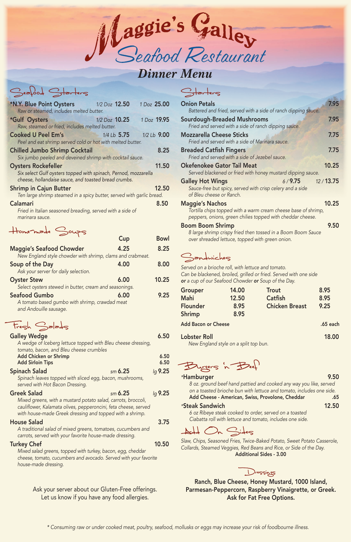| <b>Onion Petals</b>                                                                                                                        | 7.95  |
|--------------------------------------------------------------------------------------------------------------------------------------------|-------|
| Battered and fried, served with a side of ranch dipping sauce.                                                                             |       |
| <b>Sourdough-Breaded Mushrooms</b>                                                                                                         | 7.95  |
| Fried and served with a side of ranch dipping sauce.                                                                                       |       |
| <b>Mozzarella Cheese Sticks</b><br>Fried and served with a side of Marinara sauce.                                                         | 7.75  |
| <b>Breaded Catfish Fingers</b><br>Fried and served with a side of Jezebel sauce.                                                           | 7.75  |
| <b>Okefenokee Gator Tail Meat</b><br>Served blackened or fried with honey mustard dipping sauce.                                           | 10.25 |
| 12/13.75<br>6/9.75<br><b>Galley Hot Wings</b><br>Sauce-free but spicy, served with crisp celery and a side<br>of Bleu cheese or Ranch.     |       |
| <b>Maggie's Nachos</b>                                                                                                                     | 10.25 |
| Tortilla chips topped with a warm cream cheese base of shrimp,<br>peppers, onions, green chilies topped with cheddar cheese.               |       |
| <b>Boom Boom Shrimp</b><br>8 large shrimp crispy fried then tossed in a Boom Boom Sauce<br>over shreaded lettuce, topped with green onion. | 9.50  |

# Sandwickes

| <b>*N.Y. Blue Point Oysters</b> 1/2 Doz 12.50                         |                   | 1 Doz 25.00 |
|-----------------------------------------------------------------------|-------------------|-------------|
| Raw or steamed, includes melted butter.                               |                   |             |
| *Gulf Oysters                                                         | $1/2$ Doz $10.25$ | 1 Doz 19.95 |
| Raw, steamed or fried, includes melted butter.                        |                   |             |
| <b>Cooked U Peel Em's</b>                                             | $1/4$ Lb $5.75$   | 1/2 Lb 9.00 |
| Peel and eat shrimp served cold or hot with melted butter.            |                   |             |
| <b>Chilled Jumbo Shrimp Cocktail</b>                                  |                   | 8.25        |
| Six jumbo peeled and deveined shrimp with cocktail sauce.             |                   |             |
| <b>Oysters Rockefeller</b>                                            |                   | 11.50       |
| Six select Gulf oysters topped with spinach, Pernod, mozzarella       |                   |             |
| cheese, hollandaise sauce, and toasted bread crumbs.                  |                   |             |
| <b>Shrimp in Cajun Butter</b>                                         |                   | 12.50       |
| Ten large shrimp steamed in a spicy butter, served with garlic bread. |                   |             |
| <b>Calamari</b>                                                       |                   | 8.50        |
| Fried in Italian seasoned breading, served with a side of             |                   |             |
| marinara sauce.                                                       |                   |             |
| Homemade Soups                                                        |                   |             |
|                                                                       | Cup               | <b>Bowl</b> |
|                                                                       |                   |             |
| <b>Maggie's Seafood Chowder</b>                                       | 4.25              | 8.25        |
| New England style chowder with shrimp, clams and crabmeat.            |                   |             |

*8 oz. ground beef hand pattied and cooked any way you like, served on a toasted brioche bun with lettuce and tomato, includes one side.* Add Cheese - American, Swiss, Provolone, Cheddar .65

Ask your server about our Gluten-Free offerings. Let us know if you have any food allergies.

| Soup of the Day                                        | 4.00 | 8.00  |
|--------------------------------------------------------|------|-------|
| Ask your server for daily selection.                   |      |       |
| <b>Oyster Stew</b>                                     | 6.00 | 10.25 |
| Select oysters stewed in butter, cream and seasonings. |      |       |
| <b>Seafood Gumbo</b>                                   | 6.00 | 9.25  |
| A tomato based gumbo with shrimp, crawdad meat         |      |       |
| and Andouille sausage.                                 |      |       |

 $Fresh$  Salads

| <b>Galley Wedge</b>                                          | 6.50    |
|--------------------------------------------------------------|---------|
| A wedge of Iceberg lettuce topped with Bleu cheese dressing, |         |
| tomato, bacon, and Bleu cheese crumbles                      |         |
| Add Chicken or Shrimp                                        | 6.50    |
| <b>Add Sirloin Tips</b>                                      | 6.50    |
| <b>Spinach Salad</b><br>$sm$ 6.25                            | lg 9.25 |
| Spinach leaves topped with sliced egg, bacon, mushrooms,     |         |
| served with Hot Bacon Dressing.                              |         |
| <b>Greek Salad</b><br>$\sin 6.25$                            | lg 9.25 |

# Starters

*Mixed greens, with a mustard potato salad, carrots, broccoli,* cauliflower, Kalamata olives, pepperoncini, feta cheese, served *with house-made Greek dressing and topped with a shrimp.*

### House Salad 3.75

*A traditional salad of mixed greens, tomatoes, cucumbers and carrots, served with your favorite house-made dressing.*

### Turkey Chef 2008 2009 2012 2022 2023 2024 20:50

*Mixed salad greens, topped with turkey, bacon, egg, cheddar cheese, tomato, cucumbers and avocado. Served with your favorite house-made dressing.*

*\* Consuming raw or under cooked meat, poultry, seafood, mollusks or eggs may increase your risk of foodbourne illness.*

#### *\**Hamburger 9.50

### *\**Steak Sandwich12.50

*6 oz Ribeye steak cooked to order, served on a toasted Ciabatta roll with lettuce and tomato, includes one side.*



| Grouper       | 14.00 | <b>Trout</b>          | 8.95 |
|---------------|-------|-----------------------|------|
| <b>Mahi</b>   | 12.50 | <b>Catfish</b>        | 8.95 |
| Flounder      | 8.95  | <b>Chicken Breast</b> | 9.25 |
| <b>Shrimp</b> | 8.95  |                       |      |
|               |       |                       |      |

Ranch, Blue Cheese, Honey Mustard, 1000 Island, Parmesan-Peppercorn, Raspberry Vinaigrette, or Greek. Ask for Fat Free Options.



# *Dinner Menu*

# $\geq$ ealood Starters

Lobster Roll 18.00

*New England style on a split top bun.*

Burgers in Beef

*Served on a brioche roll, with lettuce and tomato. Can be blackened, broiled, grilled or fried. Served with one side or a cup of our Seafood Chowder or Soup of the Day.*

*Slaw, Chips, Seasoned Fries, Twice-Baked Potato, Sweet Potato Casserole, Collards, Steamed Veggies, Red Beans and Rice, or Side of the Day.* Additional Sides - 3.00



Add Bacon or Cheese .65 each